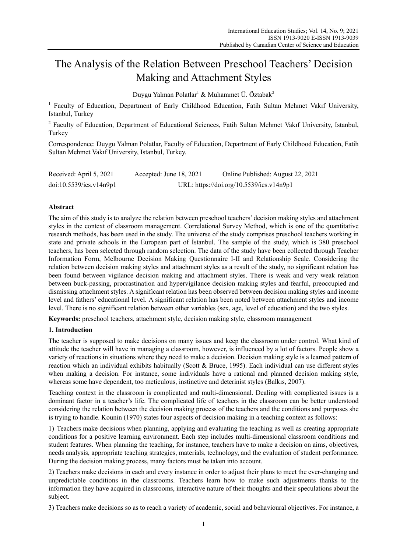# The Analysis of the Relation Between Preschool Teachers' Decision Making and Attachment Styles

Duygu Yalman Polatlar $^1$  & Muhammet Ü. Öztabak $^2$ 

<sup>1</sup> Faculty of Education, Department of Early Childhood Education, Fatih Sultan Mehmet Vakıf University, Istanbul, Turkey

<sup>2</sup> Faculty of Education, Department of Educational Sciences, Fatih Sultan Mehmet Vakıf University, Istanbul, Turkey

Correspondence: Duygu Yalman Polatlar, Faculty of Education, Department of Early Childhood Education, Fatih Sultan Mehmet Vakıf University, Istanbul, Turkey.

| Received: April 5, 2021 | Accepted: June 18, 2021 | Online Published: August 22, 2021        |
|-------------------------|-------------------------|------------------------------------------|
| doi:10.5539/ies.v14n9p1 |                         | URL: https://doi.org/10.5539/ies.v14n9p1 |

# **Abstract**

The aim of this study is to analyze the relation between preschool teachers' decision making styles and attachment styles in the context of classroom management. Correlational Survey Method, which is one of the quantitative research methods, has been used in the study. The universe of the study comprises preschool teachers working in state and private schools in the European part of İstanbul. The sample of the study, which is 380 preschool teachers, has been selected through random selection. The data of the study have been collected through Teacher Information Form, Melbourne Decision Making Questionnaire I-II and Relationship Scale. Considering the relation between decision making styles and attachment styles as a result of the study, no significant relation has been found between vigilance decision making and attachment styles. There is weak and very weak relation between buck-passing, procrastination and hypervigilance decision making styles and fearful, preoccupied and dismissing attachment styles. A significant relation has been observed between decision making styles and income level and fathers' educational level. A significant relation has been noted between attachment styles and income level. There is no significant relation between other variables (sex, age, level of education) and the two styles.

**Keywords:** preschool teachers, attachment style, decision making style, classroom management

## **1. Introduction**

The teacher is supposed to make decisions on many issues and keep the classroom under control. What kind of attitude the teacher will have in managing a classroom, however, is influenced by a lot of factors. People show a variety of reactions in situations where they need to make a decision. Decision making style is a learned pattern of reaction which an individual exhibits habitually (Scott & Bruce, 1995). Each individual can use different styles when making a decision. For instance, some individuals have a rational and planned decision making style, whereas some have dependent, too meticulous, instinctive and deterinist styles (Balkıs, 2007).

Teaching context in the classroom is complicated and multi-dimensional. Dealing with complicated issues is a dominant factor in a teacher's life. The complicated life of teachers in the classroom can be better understood considering the relation between the decision making process of the teachers and the conditions and purposes she is trying to handle. Kounin (1970) states four aspects of decision making in a teaching context as follows:

1) Teachers make decisions when planning, applying and evaluating the teaching as well as creating appropriate conditions for a positive learning environment. Each step includes multi-dimensional classroom conditions and student features. When planning the teaching, for instance, teachers have to make a decision on aims, objectives, needs analysis, appropriate teaching strategies, materials, technology, and the evaluation of student performance. During the decision making process, many factors must be taken into account.

2) Teachers make decisions in each and every instance in order to adjust their plans to meet the ever-changing and unpredictable conditions in the classrooms. Teachers learn how to make such adjustments thanks to the information they have acquired in classrooms, interactive nature of their thoughts and their speculations about the subject.

3) Teachers make decisions so as to reach a variety of academic, social and behavioural objectives. For instance, a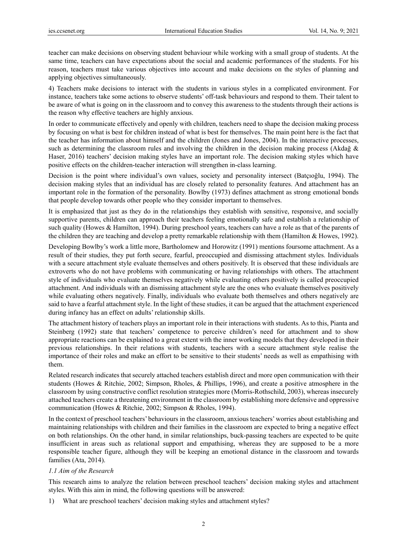teacher can make decisions on observing student behaviour while working with a small group of students. At the same time, teachers can have expectations about the social and academic performances of the students. For his reason, teachers must take various objectives into account and make decisions on the styles of planning and applying objectives simultaneously.

4) Teachers make decisions to interact with the students in various styles in a complicated environment. For instance, teachers take some actions to observe students' off-task behaviours and respond to them. Their talent to be aware of what is going on in the classroom and to convey this awareness to the students through their actions is the reason why effective teachers are highly anxious.

In order to communicate effectively and openly with children, teachers need to shape the decision making process by focusing on what is best for children instead of what is best for themselves. The main point here is the fact that the teacher has information about himself and the children (Jones and Jones, 2004). In the interactive processes, such as determining the classroom rules and involving the children in the decision making process (Akdağ & Haser, 2016) teachers' decision making styles have an important role. The decision making styles which have positive effects on the children-teacher interaction will strengthen in-class learning.

Decision is the point where individual's own values, society and personality intersect (Batçıoğlu, 1994). The decision making styles that an individual has are closely related to personality features. And attachment has an important role in the formation of the personality. Bowlby (1973) defines attachment as strong emotional bonds that people develop towards other people who they consider important to themselves.

It is emphasized that just as they do in the relationships they establish with sensitive, responsive, and socially supportive parents, children can approach their teachers feeling emotionally safe and establish a relationship of such quality (Howes & Hamilton, 1994). During preschool years, teachers can have a role as that of the parents of the children they are teaching and develop a pretty remarkable relationship with them (Hamilton & Howes, 1992).

Developing Bowlby's work a little more, Bartholomew and Horowitz (1991) mentions foursome attachment. As a result of their studies, they put forth secure, fearful, preoccupied and dismissing attachment styles. Individuals with a secure attachment style evaluate themselves and others positively. It is observed that these individuals are extroverts who do not have problems with communicating or having relationships with others. The attachment style of individuals who evaluate themselves negatively while evaluating others positively is called preoccupied attachment. And individuals with an dismissing attachment style are the ones who evaluate themselves positively while evaluating others negatively. Finally, individuals who evaluate both themselves and others negatively are said to have a fearful attachment style. In the light of these studies, it can be argued that the attachment experienced during infancy has an effect on adults' relationship skills.

The attachment history of teachers plays an important role in their interactions with students. As to this, Pianta and Steinberg (1992) state that teachers' competence to perceive children's need for attachment and to show appropriate reactions can be explained to a great extent with the inner working models that they developed in their previous relationships. In their relations with students, teachers with a secure attachment style realise the importance of their roles and make an effort to be sensitive to their students' needs as well as empathising with them.

Related research indicates that securely attached teachers establish direct and more open communication with their students (Howes & Ritchie, 2002; Simpson, Rholes, & Phillips, 1996), and create a positive atmosphere in the classroom by using constructive conflict resolution strategies more (Morris-Rothschild, 2003), whereas insecurely attached teachers create a threatening environment in the classroom by establishing more defensive and oppressive communication (Howes & Ritchie, 2002; Simpson & Rholes, 1994).

In the context of preschool teachers' behaviours in the classroom, anxious teachers' worries about establishing and maintaining relationships with children and their families in the classroom are expected to bring a negative effect on both relationships. On the other hand, in similar relationships, buck-passing teachers are expected to be quite insufficient in areas such as relational support and empathising, whereas they are supposed to be a more responsible teacher figure, although they will be keeping an emotional distance in the classroom and towards families (Ata, 2014).

## *1.1 Aim of the Research*

This research aims to analyze the relation between preschool teachers' decision making styles and attachment styles. With this aim in mind, the following questions will be answered:

1) What are preschool teachers' decision making styles and attachment styles?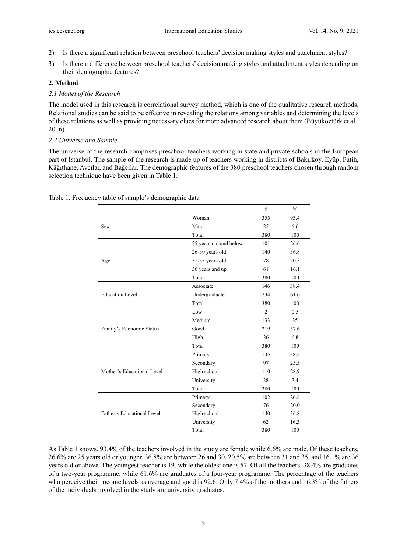- 2) Is there a significant relation between preschool teachers' decision making styles and attachment styles?
- 3) Is there a difference between preschool teachers' decision making styles and attachment styles depending on their demographic features?

#### **2. Method**

# *2.1 Model of the Research*

The model used in this research is correlational survey method, which is one of the qualitative research methods. Relational studies can be said to be effective in revealing the relations among variables and determining the levels of these relations as well as providing necessary clues for more advanced research about them (Büyüköztürk et al., 2016).

#### *2.2 Universe and Sample*

The universe of the research comprises preschool teachers working in state and private schools in the European part of İstanbul. The sample of the research is made up of teachers working in districts of Bakırköy, Eyüp, Fatih, Kâğıthane, Avcılar, and Bağcılar. The demographic features of the 380 preschool teachers chosen through random selection technique have been given in Table 1.

|                                                                                                                |                        | f              | $\frac{0}{0}$ |
|----------------------------------------------------------------------------------------------------------------|------------------------|----------------|---------------|
|                                                                                                                | Woman                  | 355            | 93.4          |
| Sex                                                                                                            | Man                    | 25             | 6.6           |
|                                                                                                                | Total                  | 380            | 100           |
|                                                                                                                | 25 years old and below | 101            | 26.6          |
|                                                                                                                | 26-30 years old        | 140            | 36.8          |
| Age                                                                                                            | 31-35 years old        | 78             | 20.5          |
|                                                                                                                | 36 years and up        | 61             | 16.1          |
| <b>Education Level</b><br>Family's Economic Status<br>Mother's Educational Level<br>Father's Educational Level | Total                  | 380            | 100           |
|                                                                                                                | Associate              | 146            | 38.4          |
|                                                                                                                | Undergraduate          | 234            | 61.6          |
|                                                                                                                | Total                  | 380            | 100           |
|                                                                                                                | Low                    | $\overline{2}$ | 0.5           |
|                                                                                                                | Medium                 | 133            | 35            |
|                                                                                                                | Good                   | 219            | 57.6          |
|                                                                                                                | High                   | 26             | 6.8           |
|                                                                                                                | Total                  | 380            | 100           |
|                                                                                                                | Primary                | 145            | 38.2          |
|                                                                                                                | Secondary              | 97             | 25.5          |
|                                                                                                                | High school            | 110            | 28.9          |
|                                                                                                                | University             | 28             | 7.4           |
|                                                                                                                | Total                  | 380            | 100           |
|                                                                                                                | Primary                | 102            | 26.8          |
|                                                                                                                | Secondary              | 76             | 20.0          |
|                                                                                                                | High school            | 140            | 36.8          |
|                                                                                                                | University             | 62             | 16.3          |
|                                                                                                                | Total                  | 380            | 100           |

Table 1. Frequency table of sample's demographic data

As Table 1 shows, 93.4% of the teachers involved in the study are female while 6.6% are male. Of these teachers, 26.6% are 25 years old or younger, 36.8% are between 26 and 30, 20.5% are between 31 and 35, and 16.1% are 36 years old or above. The youngest teacher is 19, while the oldest one is 57. Of all the teachers, 38.4% are graduates of a two-year programme, while 61.6% are graduates of a four-year programme. The percentage of the teachers who perceive their income levels as average and good is 92.6. Only 7.4% of the mothers and 16.3% of the fathers of the individuals involved in the study are university graduates.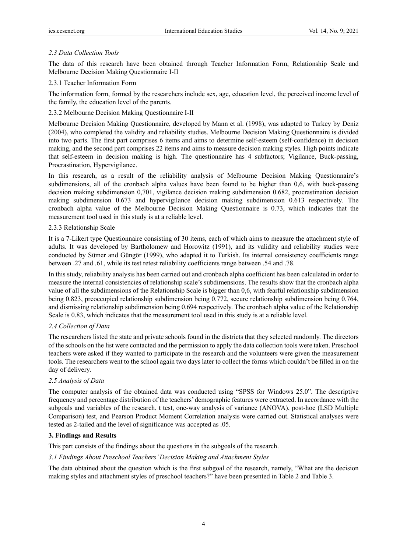# *2.3 Data Collection Tools*

The data of this research have been obtained through Teacher Information Form, Relationship Scale and Melbourne Decision Making Questionnaire I-II

# 2.3.1 Teacher Information Form

The information form, formed by the researchers include sex, age, education level, the perceived income level of the family, the education level of the parents.

2.3.2 Melbourne Decision Making Questionnaire I-II

Melbourne Decision Making Questionnaire, developed by Mann et al. (1998), was adapted to Turkey by Deniz (2004), who completed the validity and reliability studies. Melbourne Decision Making Questionnaire is divided into two parts. The first part comprises 6 items and aims to determine self-esteem (self-confidence) in decision making, and the second part comprises 22 items and aims to measure decision making styles. High points indicate that self-esteem in decision making is high. The questionnaire has 4 subfactors; Vigilance, Buck-passing, Procrastination, Hypervigilance.

In this research, as a result of the reliability analysis of Melbourne Decision Making Questionnaire's subdimensions, all of the cronbach alpha values have been found to be higher than 0,6, with buck-passing decision making subdimension 0,701, vigilance decision making subdimension 0.682, procrastination decision making subdimension 0.673 and hypervigilance decision making subdimension 0.613 respectively. The cronbach alpha value of the Melbourne Decision Making Questionnaire is 0.73, which indicates that the measurement tool used in this study is at a reliable level.

## 2.3.3 Relationship Scale

It is a 7-Likert type Questionnaire consisting of 30 items, each of which aims to measure the attachment style of adults. It was developed by Bartholomew and Horowitz (1991), and its validity and reliability studies were conducted by Sümer and Güngör (1999), who adapted it to Turkish. Its internal consistency coefficients range between .27 and .61, while its test retest reliability coefficients range between .54 and .78.

In this study, reliability analysis has been carried out and cronbach alpha coefficient has been calculated in order to measure the internal consistencies of relationship scale's subdimensions. The results show that the cronbach alpha value of all the subdimensions of the Relationship Scale is bigger than 0,6, with fearful relationship subdimension being 0.823, preoccupied relationship subdimension being 0.772, secure relationship subdimension being 0.764, and dismissing relationship subdimension being 0.694 respectively. The cronbach alpha value of the Relationship Scale is 0.83, which indicates that the measurement tool used in this study is at a reliable level.

# *2.4 Collection of Data*

The researchers listed the state and private schools found in the districts that they selected randomly. The directors of the schools on the list were contacted and the permission to apply the data collection tools were taken. Preschool teachers were asked if they wanted to participate in the research and the volunteers were given the measurement tools. The researchers went to the school again two days later to collect the forms which couldn't be filled in on the day of delivery.

# *2.5 Analysis of Data*

The computer analysis of the obtained data was conducted using "SPSS for Windows 25.0". The descriptive frequency and percentage distribution of the teachers' demographic features were extracted. In accordance with the subgoals and variables of the research, t test, one-way analysis of variance (ANOVA), post-hoc (LSD Multiple Comparison) test, and Pearson Product Moment Correlation analysis were carried out. Statistical analyses were tested as 2-tailed and the level of significance was accepted as .05.

## **3. Findings and Results**

This part consists of the findings about the questions in the subgoals of the research.

# *3.1 Findings About Preschool Teachers' Decision Making and Attachment Styles*

The data obtained about the question which is the first subgoal of the research, namely, "What are the decision making styles and attachment styles of preschool teachers?" have been presented in Table 2 and Table 3.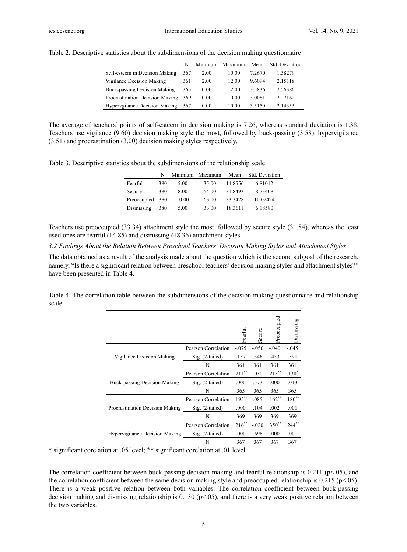|                                 | N   | Minimum | Maximum | Mean   | Std. Deviation |
|---------------------------------|-----|---------|---------|--------|----------------|
| Self-esteem in Decision Making  | 367 | 2.00    | 10.00   | 7.2670 | 1.38279        |
| Vigilance Decision Making       | 361 | 2.00    | 12.00   | 9.6094 | 2.15118        |
| Buck-passing Decision Making    | 365 | 0.00    | 12.00   | 3.5836 | 2.56386        |
| Procrastination Decision Making | 369 | 0.00    | 10.00   | 3.0081 | 2.27162        |
| Hypervgilance Decision Making   | 367 | 0.00    | 10.00   | 3.5150 | 2.14353        |

Table 2. Descriptive statistics about the subdimensions of the decision making questionnaire

The average of teachers' points of self-esteem in decision making is 7.26, whereas standard deviation is 1.38. Teachers use vigilance (9.60) decision making style the most, followed by buck-passing (3.58), hypervigilance (3.51) and procrastination (3.00) decision making styles respectively.

Table 3. Descriptive statistics about the subdimensions of the relationship scale

|                 | N   |       | Minimum Maximum | Mean    | Std. Deviation |
|-----------------|-----|-------|-----------------|---------|----------------|
| Fearful         | 380 | 5.00  | 35.00           | 14.8556 | 6.81012        |
| Secure          | 380 | 8.00  | 54.00           | 31.8493 | 8.73408        |
| Preoccupied 380 |     | 10.00 | 63.00           | 33.3428 | 10.02424       |
| Dismissing      | 380 | 5.00  | 33.00           | 18.3611 | 6.18580        |

Teachers use preoccupied (33.34) attachment style the most, followed by secure style (31.84), whereas the least used ones are fearful (14.85) and dismissing (18.36) attachment styles.

*3.2 Findings About the Relation Between Preschool Teachers' Decision Making Styles and Attachment Styles* 

The data obtained as a result of the analysis made about the question which is the second subgoal of the research, namely, "Is there a significant relation between preschool teachers' decision making styles and attachment styles?" have been presented in Table 4.

Table 4. The correlation table between the subdimensions of the decision making questionnaire and relationship scale

|                                 |                     | Fearful   | ecure   | Preoccupied | Dismissing |
|---------------------------------|---------------------|-----------|---------|-------------|------------|
|                                 | Pearson Correlation | $-.075$   | $-.050$ | $-.040$     | $-.045$    |
| Vigilance Decision Making       | $Sig. (2-tailed)$   | .157      | .346    | .453        | .391       |
|                                 | N                   | 361       | 361     | 361         | 361        |
| Buck-passing Decision Making    | Pearson Correlation | $.211$ ** | .030    | $.215***$   | $.130*$    |
|                                 | Sig. (2-tailed)     | .000      | .573    | .000        | .013       |
|                                 | N                   | 365       | 365     | 365         | 365        |
|                                 | Pearson Correlation | $.195***$ | .085    | $.162**$    | $.180**$   |
| Procrastination Decision Making | Sig. (2-tailed)     | .000      | .104    | .002        | .001       |
|                                 | N                   | 369       | 369     | 369         | 369        |
|                                 | Pearson Correlation | $.216$ ** | $-.020$ | $.350**$    | $.244***$  |
| Hypervigilance Decision Making  | $Sig. (2-tailed)$   | .000      | .698    | .000        | .000       |
|                                 | N                   | 367       | 367     | 367         | 367        |

**\*** significant corelation at .05 level; **\*\*** significant corelation at .01 level.

The correlation coefficient between buck-passing decision making and fearful relationship is  $0.211$  (p<.05), and the correlation coefficient between the same decision making style and preoccupied relationship is  $0.215$  (p<.05). There is a weak positive relation between both variables. The correlation coefficient between buck-passing decision making and dismissing relationship is  $0.130$  (p<.05), and there is a very weak positive relation between the two variables.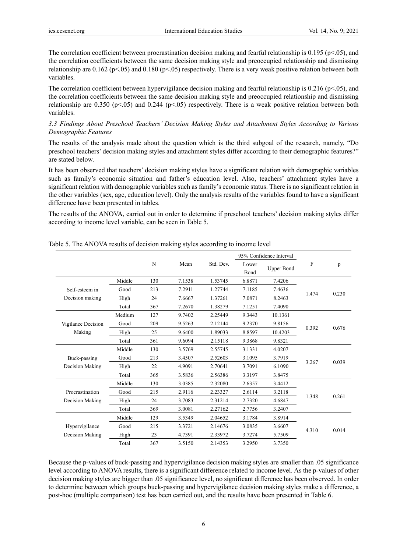The correlation coefficient between procrastination decision making and fearful relationship is  $0.195$  (p<.05), and the correlation coefficients between the same decision making style and preoccupied relationship and dismissing relationship are  $0.162$  (p<.05) and  $0.180$  (p<.05) respectively. There is a very weak positive relation between both variables.

The correlation coefficient between hypervigilance decision making and fearful relationship is  $0.216$  (p<.05), and the correlation coefficients between the same decision making style and preoccupied relationship and dismissing relationship are 0.350 (p<.05) and 0.244 (p<.05) respectively. There is a weak positive relation between both variables.

## *3.3 Findings About Preschool Teachers' Decision Making Styles and Attachment Styles According to Various Demographic Features*

The results of the analysis made about the question which is the third subgoal of the research, namely, "Do preschool teachers' decision making styles and attachment styles differ according to their demographic features?" are stated below.

It has been observed that teachers' decision making styles have a significant relation with demographic variables such as family's economic situation and father's education level. Also, teachers' attachment styles have a significant relation with demographic variables such as family's economic status. There is no significant relation in the other variables (sex, age, education level). Only the analysis results of the variables found to have a significant difference have been presented in tables.

The results of the ANOVA, carried out in order to determine if preschool teachers' decision making styles differ according to income level variable, can be seen in Table 5.

|                    |        |     |        |           |               | 95% Confidence Interval |              |       |
|--------------------|--------|-----|--------|-----------|---------------|-------------------------|--------------|-------|
|                    |        | N   | Mean   | Std. Dev. | Lower<br>Bond | <b>Upper Bond</b>       | $\mathbf{F}$ | p     |
|                    | Middle | 130 | 7.1538 | 1.53745   | 6.8871        | 7.4206                  |              |       |
| Self-esteem in     | Good   | 213 | 7.2911 | 1.27744   | 7.1185        | 7.4636                  |              |       |
| Decision making    | High   | 24  | 7.6667 | 1.37261   | 7.0871        | 8.2463                  | 1.474        | 0.230 |
|                    | Total  | 367 | 7.2670 | 1.38279   | 7.1251        | 7.4090                  |              |       |
|                    | Medium | 127 | 9.7402 | 2.25449   | 9.3443        | 10.1361                 |              |       |
| Vigilance Decision | Good   | 209 | 9.5263 | 2.12144   | 9.2370        | 9.8156                  |              |       |
| Making             | High   | 25  | 9.6400 | 1.89033   | 8.8597        | 10.4203                 | 0.392        | 0.676 |
|                    | Total  | 361 | 9.6094 | 2.15118   | 9.3868        | 9.8321                  |              |       |
|                    | Middle | 130 | 3.5769 | 2.55745   | 3.1331        | 4.0207                  |              |       |
| Buck-passing       | Good   | 213 | 3.4507 | 2.52603   | 3.1095        | 3.7919                  |              |       |
| Decision Making    | High   | 22  | 4.9091 | 2.70641   | 3.7091        | 6.1090                  | 3.267        | 0.039 |
|                    | Total  | 365 | 3.5836 | 2.56386   | 3.3197        | 3.8475                  |              |       |
|                    | Middle | 130 | 3.0385 | 2.32080   | 2.6357        | 3.4412                  |              |       |
| Procrastination    | Good   | 215 | 2.9116 | 2.23327   | 2.6114        | 3.2118                  |              |       |
| Decision Making    | High   | 24  | 3.7083 | 2.31214   | 2.7320        | 4.6847                  | 1.348        | 0.261 |
|                    | Total  | 369 | 3.0081 | 2.27162   | 2.7756        | 3.2407                  |              |       |
|                    | Middle | 129 | 3.5349 | 2.04652   | 3.1784        | 3.8914                  |              |       |
| Hypervigilance     | Good   | 215 | 3.3721 | 2.14676   | 3.0835        | 3.6607                  |              |       |
| Decision Making    | High   | 23  | 4.7391 | 2.33972   | 3.7274        | 5.7509                  | 4.310        | 0.014 |
|                    | Total  | 367 | 3.5150 | 2.14353   | 3.2950        | 3.7350                  |              |       |

Table 5. The ANOVA results of decision making styles according to income level

Because the p-values of buck-passing and hypervigilance decision making styles are smaller than .05 significance level according to ANOVA results, there is a significant difference related to income level. As the p-values of other decision making styles are bigger than .05 significance level, no significant difference has been observed. In order to determine between which groups buck-passing and hypervigilance decision making styles make a difference, a post-hoc (multiple comparison) test has been carried out, and the results have been presented in Table 6.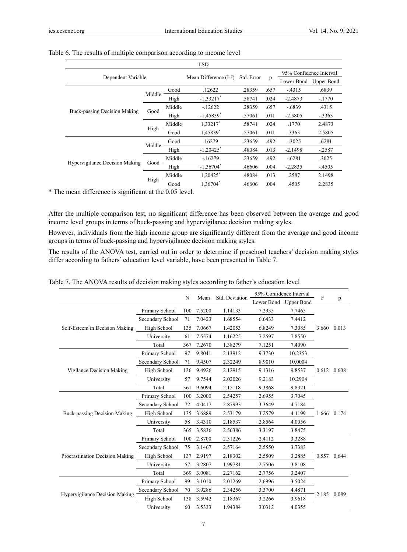|                                |        |        | <b>LSD</b>              |            |      |                         |            |
|--------------------------------|--------|--------|-------------------------|------------|------|-------------------------|------------|
|                                |        |        |                         | Std. Error |      | 95% Confidence Interval |            |
| Dependent Variable             |        |        | Mean Difference (I-J)   |            | p    | Lower Bond              | Upper Bond |
|                                |        | Good   | .12622                  | .28359     | .657 | $-4315$                 | .6839      |
|                                | Middle | High   | $-1,33217$ <sup>*</sup> | .58741     | .024 | $-2.4873$               | $-.1770$   |
| Buck-passing Decision Making   | Good   | Middle | $-12622$                | .28359     | .657 | $-.6839$                | .4315      |
|                                |        | High   | $-1,45839$ <sup>*</sup> | .57061     | .011 | $-2.5805$               | $-.3363$   |
|                                | High   | Middle | 1.33217*                | .58741     | .024 | .1770                   | 2.4873     |
|                                |        | Good   | 1.45839                 | .57061     | .011 | .3363                   | 2.5805     |
|                                |        | Good   | .16279                  | .23659     | .492 | $-.3025$                | .6281      |
|                                | Middle | High   | $-1,20425$ <sup>*</sup> | .48084     | .013 | $-2.1498$               | $-.2587$   |
|                                |        | Middle | $-.16279$               | .23659     | .492 | $-.6281$                | .3025      |
| Hypervigilance Decision Making | Good   | High   | $-1.36704$ <sup>*</sup> | .46606     | .004 | $-2.2835$               | $-.4505$   |
|                                |        | Middle | 1,20425*                | .48084     | .013 | .2587                   | 2.1498     |
|                                | High   | Good   | 1,36704*                | .46606     | .004 | .4505                   | 2.2835     |

## Table 6. The results of multiple comparison according to ıncome level

\* The mean difference is significant at the 0.05 level.

After the multiple comparison test, no significant difference has been observed between the average and good income level groups in terms of buck-passing and hypervigilance decision making styles.

However, individuals from the high income group are significantly different from the average and good income groups in terms of buck-passing and hypervigilance decision making styles.

The results of the ANOVA test, carried out in order to determine if preschool teachers' decision making styles differ according to fathers' education level variable, have been presented in Table 7.

|                                 | 95% Confidence Interval<br>Std. Deviation<br>N<br>Mean |                       | F      |         |        |         |       |             |
|---------------------------------|--------------------------------------------------------|-----------------------|--------|---------|--------|---------|-------|-------------|
|                                 |                                                        | Lower Bond Upper Bond |        |         |        | p       |       |             |
|                                 | Primary School                                         | 100                   | 7.5200 | 1.14133 | 7.2935 | 7.7465  |       |             |
|                                 | Secondary School                                       | 71                    | 7.0423 | 1.68554 | 6.6433 | 7.4412  |       |             |
| Self-Esteem in Decision Making  | High School                                            | 135                   | 7.0667 | 1.42053 | 6.8249 | 7.3085  | 3.660 | 0.013       |
|                                 | University                                             | 61                    | 7.5574 | 1.16225 | 7.2597 | 7.8550  |       |             |
|                                 | Total                                                  | 367                   | 7.2670 | 1.38279 | 7.1251 | 7.4090  |       |             |
|                                 | Primary School                                         | 97                    | 9.8041 | 2.13912 | 9.3730 | 10.2353 |       |             |
| Vigilance Decision Making       | Secondary School                                       | 71                    | 9.4507 | 2.32249 | 8.9010 | 10.0004 |       |             |
|                                 | High School                                            | 136                   | 9.4926 | 2.12915 | 9.1316 | 9.8537  | 0.612 | 0.608       |
|                                 | University                                             | 57                    | 9.7544 | 2.02026 | 9.2183 | 10.2904 |       |             |
|                                 | Total                                                  | 361                   | 9.6094 | 2.15118 | 9.3868 | 9.8321  |       |             |
|                                 | Primary School                                         | 100                   | 3.2000 | 2.54257 | 2.6955 | 3.7045  |       |             |
|                                 | Secondary School                                       | 72                    | 4.0417 | 2.87993 | 3.3649 | 4.7184  |       |             |
| Buck-passing Decision Making    | High School                                            | 135                   | 3.6889 | 2.53179 | 3.2579 | 4.1199  |       | 1.666 0.174 |
|                                 | University                                             | 58                    | 3.4310 | 2.18537 | 2.8564 | 4.0056  |       |             |
|                                 | Total                                                  | 365                   | 3.5836 | 2.56386 | 3.3197 | 3.8475  |       |             |
|                                 | Primary School                                         | 100                   | 2.8700 | 2.31226 | 2.4112 | 3.3288  |       |             |
|                                 | Secondary School                                       | 75                    | 3.1467 | 2.57164 | 2.5550 | 3.7383  |       |             |
| Procrastination Decision Making | High School                                            | 137                   | 2.9197 | 2.18302 | 2.5509 | 3.2885  | 0.557 | 0.644       |
|                                 | University                                             | 57                    | 3.2807 | 1.99781 | 2.7506 | 3.8108  |       |             |
|                                 | Total                                                  | 369                   | 3.0081 | 2.27162 | 2.7756 | 3.2407  |       |             |
|                                 | Primary School                                         | 99                    | 3.1010 | 2.01269 | 2.6996 | 3.5024  |       |             |
|                                 | Secondary School                                       | 70                    | 3.9286 | 2.34256 | 3.3700 | 4.4871  |       |             |
| Hypervigilance Decision Making  | High School                                            | 138                   | 3.5942 | 2.18367 | 3.2266 | 3.9618  | 2.185 | 0.089       |
|                                 | University                                             | 60                    | 3.5333 | 1.94384 | 3.0312 | 4.0355  |       |             |

Table 7. The ANOVA results of decision making styles according to father's education level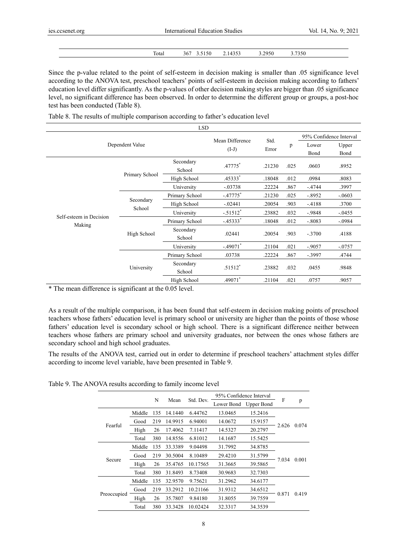| Total<br>$   -$ | 367 | 4353<br>יר<br><u>.</u><br> | $- - -$<br>2950<br>. | 7350 |
|-----------------|-----|----------------------------|----------------------|------|

Since the p-value related to the point of self-esteem in decision making is smaller than .05 significance level according to the ANOVA test, preschool teachers' points of self-esteem in decision making according to fathers' education level differ significantly. As the p-values of other decision making styles are bigger than .05 significance level, no significant difference has been observed. In order to determine the different group or groups, a post-hoc test has been conducted (Table 8).

Table 8. The results of multiple comparison according to father's education level

|                         |                     | <b>LSD</b>          |                            |               |      |           |                         |
|-------------------------|---------------------|---------------------|----------------------------|---------------|------|-----------|-------------------------|
|                         |                     |                     |                            |               |      |           | 95% Confidence Interval |
|                         | Dependent Value     |                     | Mean Difference<br>$(I-J)$ | Std.<br>Error | p    | Lower     | Upper                   |
|                         |                     |                     |                            |               | Bond | Bond      |                         |
|                         |                     | Secondary<br>School | .47775*                    | .21230        | .025 | .0603     | .8952                   |
|                         | Primary School      | High School         | .45333*                    | .18048        | .012 | .0984     | .8083                   |
|                         |                     | University          | $-.03738$                  | .22224        | .867 | $-.4744$  | .3997                   |
|                         | Secondary<br>School | Primary School      | $-.47775$ <sup>*</sup>     | .21230        | .025 | $-.8952$  | $-.0603$                |
|                         |                     | High School         | $-.02441$                  | .20054        | .903 | $-4188$   | .3700                   |
| Self-esteem in Decision |                     | University          | $-.51512$ <sup>*</sup>     | .23882        | .032 | $-0.9848$ | $-.0455$                |
|                         |                     | Primary School      | $-45333*$                  | .18048        | .012 | $-.8083$  | $-.0984$                |
| Making                  | High School         | Secondary<br>School | .02441                     | .20054        | .903 | $-.3700$  | .4188                   |
|                         |                     | University          | $-.49071$ *                | .21104        | .021 | $-.9057$  | $-.0757$                |
|                         |                     | Primary School      | .03738                     | .22224        | .867 | $-.3997$  | .4744                   |
|                         | University          | Secondary<br>School | $.51512*$                  | .23882        | .032 | .0455     | .9848                   |
|                         |                     | High School         | .49071*                    | .21104        | .021 | .0757     | .9057                   |

\* The mean difference is significant at the 0.05 level.

As a result of the multiple comparison, it has been found that self-esteem in decision making points of preschool teachers whose fathers' education level is primary school or university are higher than the points of those whose fathers' education level is secondary school or high school. There is a significant difference neither between teachers whose fathers are primary school and university graduates, nor between the ones whose fathers are secondary school and high school graduates.

The results of the ANOVA test, carried out in order to determine if preschool teachers' attachment styles differ according to income level variable, have been presented in Table 9.

Table 9. The ANOVA results according to family income level

|             |        |     |         |           | 95% Confidence Interval  |         |       |       |
|-------------|--------|-----|---------|-----------|--------------------------|---------|-------|-------|
|             |        | N   | Mean    | Std. Dev. | Lower Bond<br>Upper Bond |         | F     | p     |
|             | Middle | 135 | 14.1440 | 6.44762   | 13.0465                  | 15.2416 |       |       |
| Fearful     | Good   | 219 | 14.9915 | 6.94001   | 14.0672                  | 15.9157 |       |       |
|             | High   | 26  | 17.4062 | 7.11417   | 14.5327                  | 20.2797 | 2.626 | 0.074 |
|             | Total  | 380 | 14.8556 | 6.81012   | 14.1687                  | 15.5425 |       |       |
|             | Middle | 135 | 33.3389 | 9.04498   | 31.7992                  | 34.8785 |       | 0.001 |
|             | Good   | 219 | 30.5004 | 8.10489   | 29.4210                  | 31.5799 | 7.034 |       |
| Secure      | High   | 26  | 35.4765 | 10.17565  | 31.3665                  | 39.5865 |       |       |
|             | Total  | 380 | 31.8493 | 8.73408   | 30.9683                  | 32.7303 |       |       |
|             | Middle | 135 | 32.9570 | 9.75621   | 31.2962                  | 34.6177 |       |       |
|             | Good   | 219 | 33.2912 | 10.21166  | 31.9312                  | 34.6512 |       |       |
| Preoccupied | High   | 26  | 35.7807 | 9.84180   | 31.8055                  | 39.7559 | 0.871 | 0.419 |
|             | Total  | 380 | 33.3428 | 10.02424  | 32.3317                  | 34.3539 |       |       |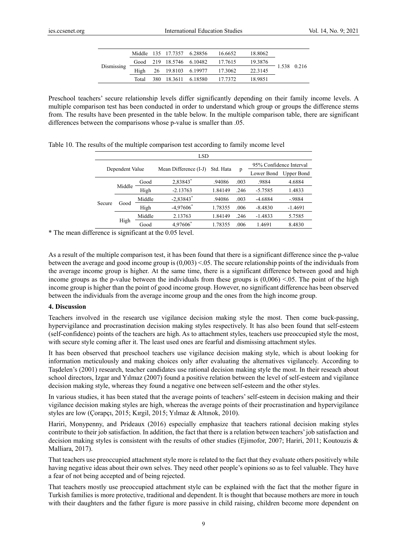|            |       | Middle 135 17.7357 6.28856 | 16.6652                          | 18.8062 |             |
|------------|-------|----------------------------|----------------------------------|---------|-------------|
| Dismissing |       |                            | Good 219 18.5746 6.10482 17.7615 | 19.3876 | 1.538 0.216 |
|            | High  |                            | 26 19.8103 6.19977 17.3062       | 22.3145 |             |
|            | Total | 380 18.3611 6.18580        | 17.7372                          | 18.9851 |             |

Preschool teachers' secure relationship levels differ significantly depending on their family income levels. A multiple comparison test has been conducted in order to understand which group or groups the difference stems from. The results have been presented in the table below. In the multiple comparison table, there are significant differences between the comparisons whose p-value is smaller than .05.

| <b>LSD</b>      |        |        |                         |           |      |                         |                   |
|-----------------|--------|--------|-------------------------|-----------|------|-------------------------|-------------------|
| Dependent Value |        |        | Mean Difference (I-J)   | Std. Hata | p    | 95% Confidence Interval |                   |
|                 |        |        |                         |           |      | Lower Bond              | <b>Upper Bond</b> |
| Secure          | Middle | Good   | 2,83843*                | .94086    | .003 | .9884                   | 4.6884            |
|                 |        | High   | $-2.13763$              | 1.84149   | .246 | $-5.7585$               | 1.4833            |
|                 | Good   | Middle | $-2,83843$ <sup>*</sup> | .94086    | .003 | $-4.6884$               | $-.9884$          |
|                 |        | High   | $-4,97606$ <sup>*</sup> | 1.78355   | .006 | $-8.4830$               | $-1.4691$         |
|                 | High   | Middle | 2.13763                 | 1.84149   | .246 | $-1.4833$               | 5.7585            |
|                 |        | Good   | 4.97606                 | 1.78355   | .006 | 1.4691                  | 8.4830            |

Table 10. The results of the multiple comparison test according to family ıncome level

\* The mean difference is significant at the 0.05 level.

As a result of the multiple comparison test, it has been found that there is a significant difference since the p-value between the average and good income group is (0,003) <.05. The secure relationship points of the individuals from the average income group is higher. At the same time, there is a significant difference between good and high income groups as the p-value between the individuals from these groups is  $(0,006) < 0.05$ . The point of the high income group is higher than the point of good income group. However, no significant difference has been observed between the individuals from the average income group and the ones from the high income group.

#### **4. Discussion**

Teachers involved in the research use vigilance decision making style the most. Then come buck-passing, hypervigilance and procrastination decision making styles respectively. It has also been found that self-esteem (self-confidence) points of the teachers are high. As to attachment styles, teachers use preoccupied style the most, with secure style coming after it. The least used ones are fearful and dismissing attachment styles.

It has been observed that preschool teachers use vigilance decision making style, which is about looking for information meticulously and making choices only after evaluating the alternatives vigilancely. According to Taşdelen's (2001) research, teacher candidates use rational decision making style the most. In their reseach about school directors, Izgar and Yılmaz (2007) found a positive relation between the level of self-esteem and vigilance decision making style, whereas they found a negative one between self-esteem and the other styles.

In various studies, it has been stated that the average points of teachers' self-esteem in decision making and their vigilance decision making styles are high, whereas the average points of their procrastination and hypervigilance styles are low (Çorapçı, 2015; Kırgil, 2015; Yılmaz & Altınok, 2010).

Hariri, Monypenny, and Prideaux (2016) especially emphasize that teachers rational decision making styles contribute to their job satisfaction. In addition, the fact that there is a relation between teachers' job satisfaction and decision making styles is consistent with the results of other studies (Ejimofor, 2007; Hariri, 2011; Koutouzis & Malliara, 2017).

That teachers use preoccupied attachment style more is related to the fact that they evaluate others positively while having negative ideas about their own selves. They need other people's opinions so as to feel valuable. They have a fear of not being accepted and of being rejected.

That teachers mostly use preoccupied attachment style can be explained with the fact that the mother figure in Turkish families is more protective, traditional and dependent. It is thought that because mothers are more in touch with their daughters and the father figure is more passive in child raising, children become more dependent on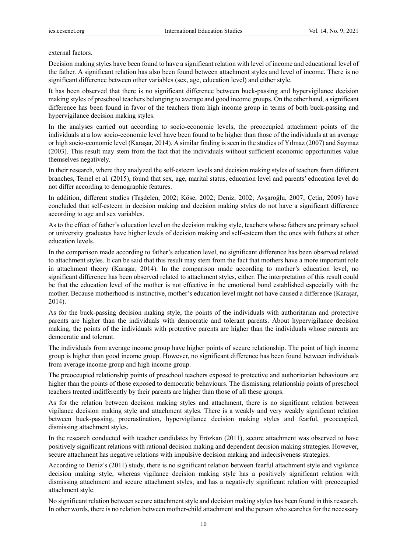#### external factors.

Decision making styles have been found to have a significant relation with level of income and educational level of the father. A significant relation has also been found between attachment styles and level of income. There is no significant difference between other variables (sex, age, education level) and either style.

It has been observed that there is no significant difference between buck-passing and hypervigilance decision making styles of preschool teachers belonging to average and good income groups. On the other hand, a significant difference has been found in favor of the teachers from high income group in terms of both buck-passing and hypervigilance decision making styles.

In the analyses carried out according to socio-economic levels, the preoccupied attachment points of the individuals at a low socio-economic level have been found to be higher than those of the individuals at an average or high socio-economic level (Karaşar, 2014). A similar finding is seen in the studies of Yılmaz (2007) and Saymaz (2003). This result may stem from the fact that the individuals without sufficient economic opportunities value themselves negatively.

In their research, where they analyzed the self-esteem levels and decision making styles of teachers from different branches, Temel et al. (2015), found that sex, age, marital status, education level and parents' education level do not differ according to demographic features.

In addition, different studies (Taşdelen, 2002; Köse, 2002; Deniz, 2002; Avşaroğlu, 2007; Çetin, 2009) have concluded that self-esteem in decision making and decision making styles do not have a significant difference according to age and sex variables.

As to the effect of father's education level on the decision making style, teachers whose fathers are primary school or university graduates have higher levels of decision making and self-esteem than the ones with fathers at other education levels.

In the comparison made according to father's education level, no significant difference has been observed related to attachment styles. It can be said that this result may stem from the fact that mothers have a more important role in attachment theory (Karaşar, 2014). In the comparison made according to mother's education level, no significant difference has been observed related to attachment styles, either. The interpretation of this result could be that the education level of the mother is not effective in the emotional bond established especially with the mother. Because motherhood is instinctive, mother's education level might not have caused a difference (Karaşar, 2014).

As for the buck-passing decision making style, the points of the individuals with authoritarian and protective parents are higher than the individuals with democratic and tolerant parents. About hypervigilance decision making, the points of the individuals with protective parents are higher than the individuals whose parents are democratic and tolerant.

The individuals from average income group have higher points of secure relationship. The point of high income group is higher than good income group. However, no significant difference has been found between individuals from average income group and high income group.

The preoccupied relationship points of preschool teachers exposed to protective and authoritarian behaviours are higher than the points of those exposed to democratic behaviours. The dismissing relationship points of preschool teachers treated indifferently by their parents are higher than those of all these groups.

As for the relation between decision making styles and attachment, there is no significant relation between vigilance decision making style and attachment styles. There is a weakly and very weakly significant relation between buck-passing, procrastination, hypervigilance decision making styles and fearful, preoccupied, dismissing attachment styles.

In the research conducted with teacher candidates by Erözkan (2011), secure attachment was observed to have positively significant relations with rational decision making and dependent decision making strategies. However, secure attachment has negative relations with impulsive decision making and indecisiveness strategies.

According to Deniz's (2011) study, there is no significant relation between fearful attachment style and vigilance decision making style, whereas vigilance decision making style has a positively significant relation with dismissing attachment and secure attachment styles, and has a negatively significant relation with preoccupied attachment style.

No significant relation between secure attachment style and decision making styles has been found in this research. In other words, there is no relation between mother-child attachment and the person who searches for the necessary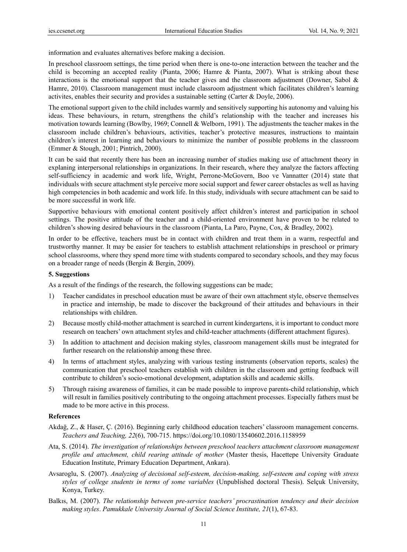information and evaluates alternatives before making a decision.

In preschool classroom settings, the time period when there is one-to-one interaction between the teacher and the child is becoming an accepted reality (Pianta, 2006; Hamre & Pianta, 2007). What is striking about these interactions is the emotional support that the teacher gives and the classroom adjustment (Downer, Sabol & Hamre, 2010). Classroom management must include classroom adjustment which facilitates children's learning activites, enables their security and provides a sustainable setting (Carter & Doyle, 2006).

The emotional support given to the child includes warmly and sensitively supporting his autonomy and valuing his ideas. These behaviours, in return, strengthens the child's relationship with the teacher and increases his motivation towards learning (Bowlby, 1969; Connell & Welborn, 1991). The adjustments the teacher makes in the classroom include children's behaviours, activities, teacher's protective measures, instructions to maintain children's interest in learning and behaviours to minimize the number of possible problems in the classroom (Emmer & Stough, 2001; Pintrich, 2000).

It can be said that recently there has been an increasing number of studies making use of attachment theory in explaning interpersonal relationships in organizations. In their research, where they analyze the factors affecting self-sufficiency in academic and work life, Wright, Perrone-McGovern, Boo ve Vannatter (2014) state that individuals with secure attachment style perceive more social support and fewer career obstacles as well as having high competencies in both academic and work life. In this study, individuals with secure attachment can be said to be more successful in work life.

Supportive behaviours with emotional content positively affect children's interest and participation in school settings. The positive attitude of the teacher and a child-oriented environment have proven to be related to children's showing desired behaviours in the classroom (Pianta, La Paro, Payne, Cox, & Bradley, 2002).

In order to be effective, teachers must be in contact with children and treat them in a warm, respectful and trustworthy manner. It may be easier for teachers to establish attachment relationships in preschool or primary school classrooms, where they spend more time with students compared to secondary schools, and they may focus on a broader range of needs (Bergin & Bergin, 2009).

#### **5. Suggestions**

As a result of the findings of the research, the following suggestions can be made;

- 1) Teacher candidates in preschool education must be aware of their own attachment style, observe themselves in practice and internship, be made to discover the background of their attitudes and behaviours in their relationships with children.
- 2) Because mostly child-mother attachment is searched in current kindergartens, it is important to conduct more research on teachers' own attachment styles and child-teacher attachments (different attachment figures).
- 3) In addition to attachment and decision making styles, classroom management skills must be integrated for further research on the relationship among these three.
- 4) In terms of attachment styles, analyzing with various testing instruments (observation reports, scales) the communication that preschool teachers establish with children in the classroom and getting feedback will contribute to children's socio-emotional development, adaptation skills and academic skills.
- 5) Through raising awareness of families, it can be made possible to improve parents-child relationship, which will result in families positively contributing to the ongoing attachment processes. Especially fathers must be made to be more active in this process.

## **References**

- Akdağ, Z., & Haser, Ç. (2016). Beginning early childhood education teachers' classroom management concerns. *Teachers and Teaching, 22*(6), 700-715. https://doi.org/10.1080/13540602.2016.1158959
- Ata, S. (2014). *The investigation of relationships between preschool teachers attachment classroom management profile and attachment, child rearing attitude of mother* (Master thesis, Hacettepe University Graduate Education Institute, Primary Education Department, Ankara).
- Avsaroglu, S. (2007). *Analyzing of decisional self-esteem, decision-making, self-esteem and coping with stress styles of college students in terms of some variables* (Unpublished doctoral Thesis). Selçuk University, Konya, Turkey.
- Balkıs, M. (2007). *The relationship between pre-service teachers' procrastination tendency and their decision making styles*. *Pamukkale University Journal of Social Science Institute, 21*(1), 67-83.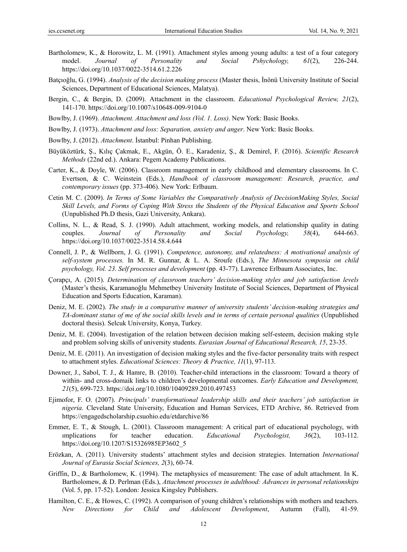- Bartholomew, K., & Horowitz, L. M. (1991). Attachment styles among young adults: a test of a four category model. *Journal of Personality and Social Pshychology, 61*(2), 226-244. https://doi.org/10.1037/0022-3514.61.2.226
- Batçıoğlu, G. (1994). *Analysis of the decision making process* (Master thesis, İnönü University Institute of Social Sciences, Department of Educational Sciences, Malatya).
- Bergin, C., & Bergin, D. (2009). Attachment in the classroom. *Educational Psychological Review, 21*(2), 141-170. https://doi.org/10.1007/s10648-009-9104-0
- Bowlby, J. (1969). *Attachment. Attachment and loss (Vol. 1. Loss)*. New York: Basic Books.
- Bowlby, J. (1973). *Attachment and loss: Separation, anxiety and anger*. New York: Basic Books.
- Bowlby, J. (2012). *Attachment*. İstanbul: Pinhan Publishing.
- Büyüköztürk, Ş., Kılıç Çakmak, E., Akgün, Ö. E., Karadeniz, Ş., & Demirel, F. (2016). *Scientific Research Methods* (22nd ed.). Ankara: Pegem Academy Publications.
- Carter, K., & Doyle, W. (2006). Classroom management in early childhood and elementary classrooms. In C. Evertson, & C. Weinstein (Eds.), *Handbook of classroom management: Research, practice, and contemporary issues* (pp. 373-406). New York: Erlbaum.
- Cetin M. C. (2009). *In Terms of Some Variables the Comparatively Analysis of DecisionMaking Styles, Social Skill Levels, and Forms of Coping With Stress the Students of the Physical Education and Sports School* (Unpublished Ph.D thesis, Gazi University, Ankara).
- Collins, N. L., & Read, S. J. (1990). Adult attachment, working models, and relationship quality in dating couples. *Journal of Personality and Social Psychology, 58*(4), 644-663. https://doi.org/10.1037/0022-3514.58.4.644
- Connell, J. P., & Wellborn, J. G. (1991). *Competence, autonomy, and relatedness: A motivational analysis of self-system processes.* In M. R. Gunnar, & L. A. Sroufe (Eds.), *The Minnesota symposia on child psychology, Vol. 23. Self processes and development* (pp. 43-77). Lawrence Erlbaum Associates, Inc.
- Çorapçı, A. (2015). *Determination of classroom teachers' decision-making styles and job satisfaction levels*  (Master's thesis, Karamanoğlu Mehmetbey University Institute of Social Sciences, Department of Physical Education and Sports Education, Karaman).
- Deniz, M. E. (2002). *The study in a comparative manner of university students' decision-making strategies and TA-dominant status of me of the social skills levels and in terms of certain personal qualities* (Unpublished doctoral thesis). Selcuk University, Konya, Turkey.
- Deniz, M. E. (2004). Investigation of the relation between decision making self-esteem, decision making style and problem solving skills of university students. *Eurasian Journal of Educational Research, 15*, 23-35.
- Deniz, M. E. (2011). An investigation of decision making styles and the five-factor personality traits with respect to attachment styles. *Educational Sciences: Theory & Practice, 11*(1), 97-113.
- Downer, J., Sabol, T. J., & Hamre, B. (2010). Teacher-child interactions in the classroom: Toward a theory of within- and cross-domaik links to children's developmental outcomes. *Early Education and Development, 21*(5), 699-723. https://doi.org/10.1080/10409289.2010.497453
- Ejimofor, F. O. (2007). *Principals' transformational leadership skills and their teachers' job satisfaction in nigeria.* Cleveland State University, Education and Human Services, ETD Archive, 86. Retrieved from https://engagedscholarship.csuohio.edu/etdarchive/86
- Emmer, E. T., & Stough, L. (2001). Classroom management: A critical part of educational psychology, with ımplications for teacher education. *Educational Psychologist, 36*(2), 103-112. https://doi.org/10.1207/S15326985EP3602\_5
- Erözkan, A. (2011). University students' attachment styles and decision strategies. Internation *International Journal of Eurasia Social Sciences, 2*(3), 60-74.
- Griffin, D., & Bartholomew, K. (1994). The metaphysics of measurement: The case of adult attachment. In K. Bartholomew, & D. Perlman (Eds.), *Attachment processes in adulthood: Advances in personal relationships* (Vol. 5, pp. 17-52). London: Jessica Kingsley Publishers.
- Hamilton, C. E., & Howes, C. (1992). A comparison of young children's relationships with mothers and teachers. *New Directions for Child and Adolescent Development*, Autumn (Fall), 41-59.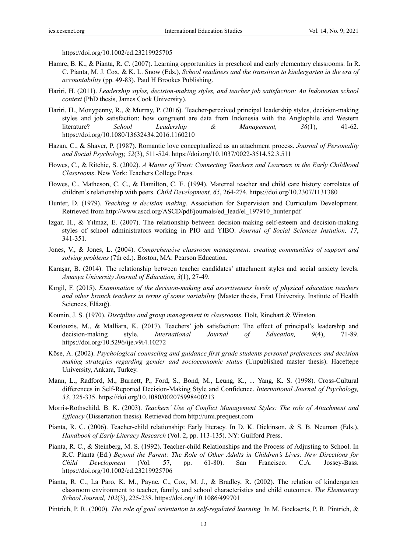https://doi.org/10.1002/cd.23219925705

- Hamre, B. K., & Pianta, R. C. (2007). Learning opportunities in preschool and early elementary classrooms. In R. C. Pianta, M. J. Cox, & K. L. Snow (Eds.), *School readiness and the transition to kindergarten in the era of accountability* (pp. 49-83). Paul H Brookes Publishing.
- Hariri, H. (2011). *Leadership styles, decision-making styles, and teacher job satisfaction: An Indonesian school context* (PhD thesis, James Cook University).
- Hariri, H., Monypenny, R., & Murray, P. (2016). Teacher-perceived principal leadership styles, decision-making styles and job satisfaction: how congruent are data from Indonesia with the Anglophile and Western literature? *School Leadership & Management, 36*(1), 41-62. https://doi.org/10.1080/13632434.2016.1160210
- Hazan, C., & Shaver, P. (1987). Romantic love conceptualized as an attachment process. *Journal of Personality and Social Psychology, 52*(3), 511-524. https://doi.org/10.1037/0022-3514.52.3.511
- Howes, C., & Ritchie, S. (2002). *A Matter of Trust: Connecting Teachers and Learners in the Early Childhood Classrooms*. New York: Teachers College Press.
- Howes, C., Matheson, C. C., & Hamilton, C. E. (1994). Maternal teacher and child care history corrolates of children's relationship with peers. *Child Development, 65*, 264-274. https://doi.org/10.2307/1131380
- Hunter, D. (1979). *Teaching is decision making*. Association for Supervision and Curriculum Development. Retrieved from http://www.ascd.org/ASCD/pdf/journals/ed\_lead/el\_197910\_hunter.pdf
- Izgar, H., & Yılmaz, E. (2007). The relationship between decision-making self-esteem and decision-making styles of school administrators working in PIO and YIBO. *Journal of Social Sciences Instution, 17*, 341-351.
- Jones, V., & Jones, L. (2004). *Comprehensive classroom management: creating communities of support and solving problems* (7th ed.). Boston, MA: Pearson Education.
- Karaşar, B. (2014). The relationship between teacher candidates' attachment styles and social anxiety levels. *Amasya University Journal of Education, 3*(1), 27-49.
- Kırgil, F. (2015). *Examination of the decision-making and assertiveness levels of physical education teachers and other branch teachers in terms of some variability* (Master thesis, Fırat University, Institute of Health Sciences, Elâzığ).
- Kounin, J. S. (1970). *Discipline and group management in classrooms*. Holt, Rinehart & Winston.
- Koutouzis, M., & Malliara, K. (2017). Teachers' job satisfaction: The effect of principal's leadership and decision-making style. *International Journal of Education, 9*(4), 71-89. https://doi.org/10.5296/ije.v9i4.10272
- Köse, A. (2002). *Psychological counseling and guidance first grade students personal preferences and decision making strategies regarding gender and socioeconomic status* (Unpublished master thesis). Hacettepe University, Ankara, Turkey.
- Mann, L., Radford, M., Burnett, P., Ford, S., Bond, M., Leung, K., ... Yang, K. S. (1998). Cross-Cultural differences in Self-Reported Decision-Making Style and Confidence. *International Journal of Psychology, 33*, 325-335. https://doi.org/10.1080/002075998400213
- Morris-Rothschild, B. K. (2003). *Teachers' Use of Conflict Management Styles: The role of Attachment and Efficacy* (Dissertation thesis). Retrieved from http://umi.prequest.com
- Pianta, R. C. (2006). Teacher-child relationship: Early literacy. In D. K. Dickinson, & S. B. Neuman (Eds.), *Handbook of Early Literacy Research* (Vol. 2, pp. 113-135). NY: Guilford Press.
- Pianta, R. C., & Steinberg, M. S. (1992). Teacher-child Relationships and the Process of Adjusting to School. In R.C. Pianta (Ed.) *Beyond the Parent: The Role of Other Adults in Children's Lives: New Directions for Child Development* (Vol. 57, pp. 61-80). San Francisco: C.A. Jossey-Bass. https://doi.org/10.1002/cd.23219925706
- Pianta, R. C., La Paro, K. M., Payne, C., Cox, M. J., & Bradley, R. (2002). The relation of kindergarten classroom environment to teacher, family, and school characteristics and child outcomes. *The Elementary School Journal, 102*(3), 225-238. https://doi.org/10.1086/499701
- Pintrich, P. R. (2000). *The role of goal orientation in self-regulated learning.* In M. Boekaerts, P. R. Pintrich, &